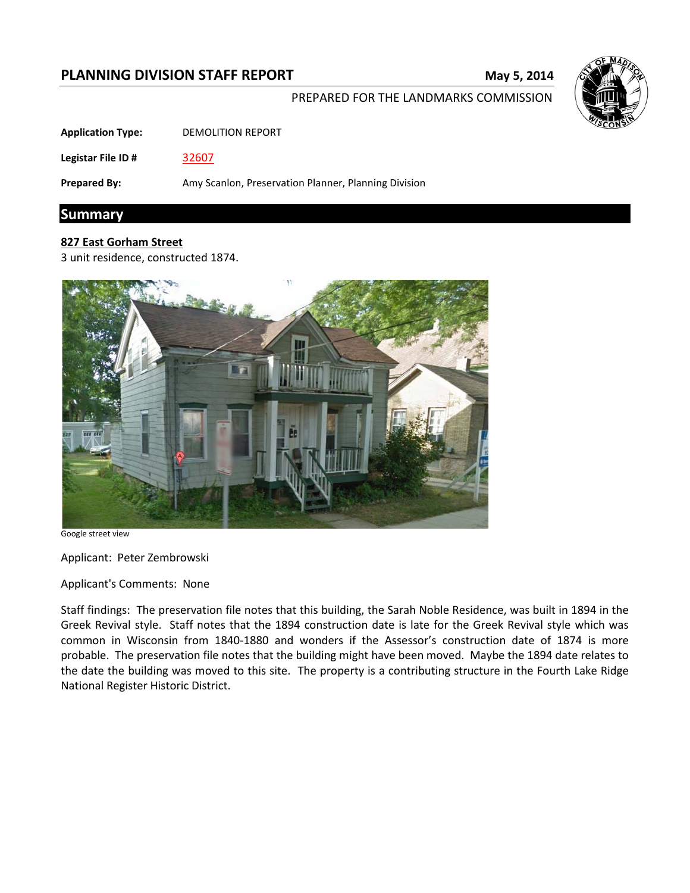# **PLANNING DIVISION STAFF REPORT May 5, 2014**



#### PREPARED FOR THE LANDMARKS COMMISSION

**Application Type:** DEMOLITION REPORT

**Legistar File ID #** [32607](https://madison.legistar.com/LegislationDetail.aspx?ID=1541609&GUID=2EB09242-AA67-483F-9F9D-07EA2C989200&Options=ID|Text|&Search=32607)

**Prepared By:** Amy Scanlon, Preservation Planner, Planning Division

# **Summary**

## **827 East Gorham Street**

3 unit residence, constructed 1874.



Google street view

Applicant: Peter Zembrowski

Applicant's Comments: None

Staff findings: The preservation file notes that this building, the Sarah Noble Residence, was built in 1894 in the Greek Revival style. Staff notes that the 1894 construction date is late for the Greek Revival style which was common in Wisconsin from 1840-1880 and wonders if the Assessor's construction date of 1874 is more probable. The preservation file notes that the building might have been moved. Maybe the 1894 date relates to the date the building was moved to this site. The property is a contributing structure in the Fourth Lake Ridge National Register Historic District.